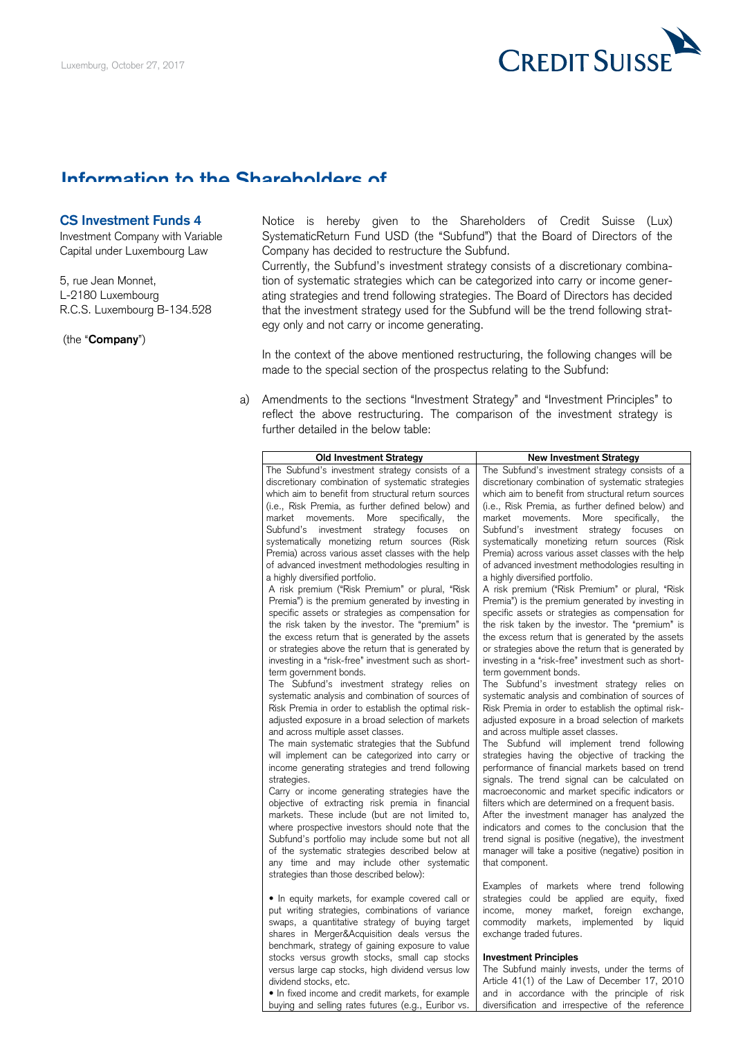

## **Information to the Shareholders of**

## **CS Investment Funds 4**

(the "**Company**")

CS Investment Funds 4 **Notice** is hereby given to the Shareholders of Credit Suisse (Lux) Investment Company with Variable SystematicReturn Fund USD (the "Subfund") that the Board of Directors of the Capital under Luxembourg Law Company has decided to restructure the Subfund.

 Currently, the Subfund's investment strategy consists of a discretionary combina- 5, rue Jean Monnet, tion of systematic strategies which can be categorized into carry or income gener- L-2180 Luxembourg ating strategies and trend following strategies. The Board of Directors has decided R.C.S. Luxembourg B-134.528 that the investment strategy used for the Subfund will be the trend following strategy only and not carry or income generating.

> In the context of the above mentioned restructuring, the following changes will be made to the special section of the prospectus relating to the Subfund:

 a) Amendments to the sections "Investment Strategy" and "Investment Principles" to reflect the above restructuring. The comparison of the investment strategy is further detailed in the below table:

| <b>Old Investment Strategy</b>                                                                            | <b>New Investment Strategy</b>                                                                            |  |
|-----------------------------------------------------------------------------------------------------------|-----------------------------------------------------------------------------------------------------------|--|
| The Subfund's investment strategy consists of a                                                           | The Subfund's investment strategy consists of a                                                           |  |
| discretionary combination of systematic strategies<br>which aim to benefit from structural return sources | discretionary combination of systematic strategies<br>which aim to benefit from structural return sources |  |
| (i.e., Risk Premia, as further defined below) and                                                         | (i.e., Risk Premia, as further defined below) and                                                         |  |
|                                                                                                           |                                                                                                           |  |
| market movements.<br>More<br>specifically,<br>the                                                         | market movements.<br>More<br>specifically,<br>the                                                         |  |
| Subfund's investment strategy<br>focuses<br>on                                                            | Subfund's investment strategy focuses<br>on                                                               |  |
| systematically monetizing return sources (Risk                                                            | systematically monetizing return sources (Risk                                                            |  |
| Premia) across various asset classes with the help                                                        | Premia) across various asset classes with the help                                                        |  |
| of advanced investment methodologies resulting in                                                         | of advanced investment methodologies resulting in                                                         |  |
| a highly diversified portfolio.                                                                           | a highly diversified portfolio.                                                                           |  |
| A risk premium ("Risk Premium" or plural, "Risk                                                           | A risk premium ("Risk Premium" or plural, "Risk                                                           |  |
| Premia") is the premium generated by investing in                                                         | Premia") is the premium generated by investing in                                                         |  |
| specific assets or strategies as compensation for                                                         | specific assets or strategies as compensation for                                                         |  |
| the risk taken by the investor. The "premium" is                                                          | the risk taken by the investor. The "premium" is                                                          |  |
| the excess return that is generated by the assets                                                         | the excess return that is generated by the assets                                                         |  |
| or strategies above the return that is generated by                                                       | or strategies above the return that is generated by                                                       |  |
| investing in a "risk-free" investment such as short-                                                      | investing in a "risk-free" investment such as short-                                                      |  |
| term government bonds.                                                                                    | term government bonds.                                                                                    |  |
| The Subfund's investment strategy relies on                                                               | The Subfund's investment strategy relies on                                                               |  |
| systematic analysis and combination of sources of                                                         | systematic analysis and combination of sources of                                                         |  |
| Risk Premia in order to establish the optimal risk-                                                       | Risk Premia in order to establish the optimal risk-                                                       |  |
| adjusted exposure in a broad selection of markets<br>and across multiple asset classes.                   | adjusted exposure in a broad selection of markets<br>and across multiple asset classes.                   |  |
| The main systematic strategies that the Subfund                                                           | The Subfund will implement trend following                                                                |  |
| will implement can be categorized into carry or                                                           | strategies having the objective of tracking the                                                           |  |
| income generating strategies and trend following                                                          | performance of financial markets based on trend                                                           |  |
| strategies.                                                                                               | signals. The trend signal can be calculated on                                                            |  |
| Carry or income generating strategies have the                                                            | macroeconomic and market specific indicators or                                                           |  |
| objective of extracting risk premia in financial                                                          | filters which are determined on a frequent basis.                                                         |  |
| markets. These include (but are not limited to,                                                           | After the investment manager has analyzed the                                                             |  |
| where prospective investors should note that the                                                          | indicators and comes to the conclusion that the                                                           |  |
| Subfund's portfolio may include some but not all                                                          | trend signal is positive (negative), the investment                                                       |  |
| of the systematic strategies described below at                                                           | manager will take a positive (negative) position in                                                       |  |
| any time and may include other systematic                                                                 | that component.                                                                                           |  |
| strategies than those described below):                                                                   |                                                                                                           |  |
|                                                                                                           | Examples of markets where trend following                                                                 |  |
| • In equity markets, for example covered call or                                                          | strategies could be applied are equity, fixed                                                             |  |
| put writing strategies, combinations of variance                                                          | money market, foreign<br>exchange,<br>income,                                                             |  |
| swaps, a quantitative strategy of buying target                                                           | commodity<br>markets,<br>implemented<br>liquid<br>by                                                      |  |
| shares in Merger&Acquisition deals versus the                                                             | exchange traded futures.                                                                                  |  |
| benchmark, strategy of gaining exposure to value                                                          |                                                                                                           |  |
| stocks versus growth stocks, small cap stocks                                                             | <b>Investment Principles</b>                                                                              |  |
| versus large cap stocks, high dividend versus low                                                         | The Subfund mainly invests, under the terms of                                                            |  |
| dividend stocks, etc.                                                                                     | Article 41(1) of the Law of December 17, 2010                                                             |  |
| · In fixed income and credit markets, for example                                                         | and in accordance with the principle of risk                                                              |  |

buying and selling rates futures (e.g., Euribor vs. | diversification and irrespective of the reference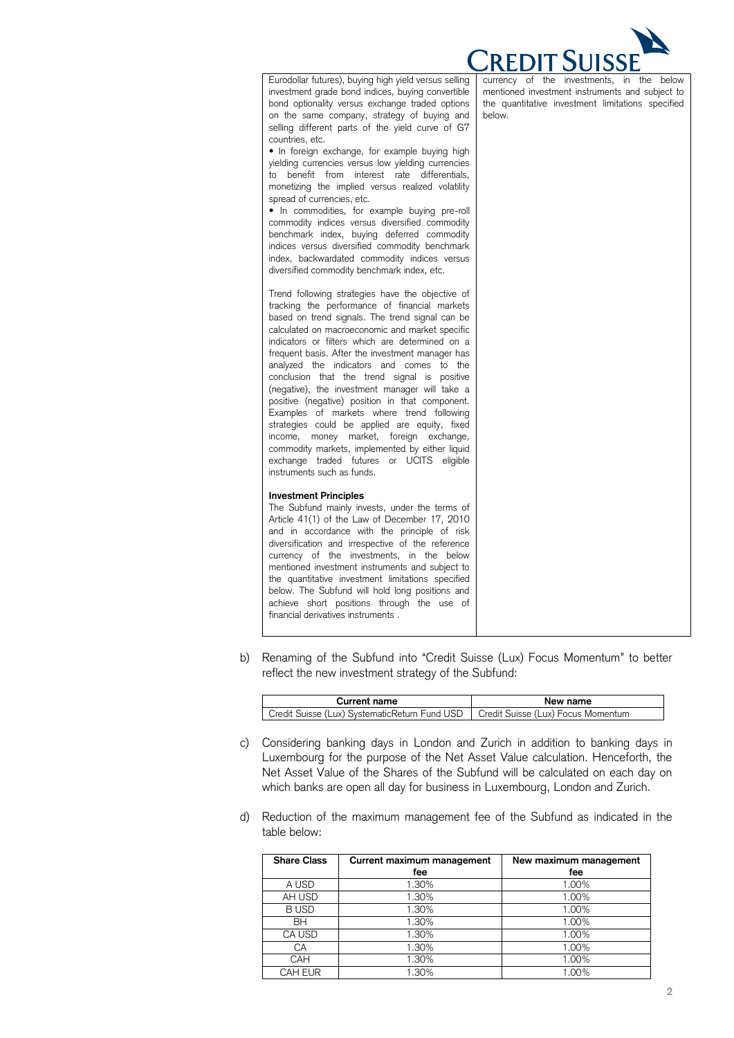

| Eurodollar futures), buying high yield versus selling<br>investment grade bond indices, buying convertible<br>bond optionality versus exchange traded options<br>on the same company, strategy of buying and<br>selling different parts of the yield curve of G7<br>countries, etc.<br>• In foreign exchange, for example buying high<br>yielding currencies versus low yielding currencies<br>benefit from interest rate differentials,<br>to<br>monetizing the implied versus realized volatility<br>spread of currencies, etc.<br>• In commodities, for example buying pre-roll<br>commodity indices versus diversified commodity<br>benchmark index, buying deferred commodity<br>indices versus diversified commodity benchmark<br>index, backwardated commodity indices versus<br>diversified commodity benchmark index, etc.<br>Trend following strategies have the objective of<br>tracking the performance of financial markets<br>based on trend signals. The trend signal can be<br>calculated on macroeconomic and market specific<br>indicators or filters which are determined on a<br>frequent basis. After the investment manager has<br>analyzed the indicators and comes to the<br>conclusion that the trend signal is positive<br>(negative), the investment manager will take a<br>positive (negative) position in that component.<br>Examples of markets where trend following<br>strategies could be applied are equity, fixed<br>income, money market, foreign exchange,<br>commodity markets, implemented by either liquid | currency of the investments, in the below<br>mentioned investment instruments and subject to<br>the quantitative investment limitations specified<br>below. |
|----------------------------------------------------------------------------------------------------------------------------------------------------------------------------------------------------------------------------------------------------------------------------------------------------------------------------------------------------------------------------------------------------------------------------------------------------------------------------------------------------------------------------------------------------------------------------------------------------------------------------------------------------------------------------------------------------------------------------------------------------------------------------------------------------------------------------------------------------------------------------------------------------------------------------------------------------------------------------------------------------------------------------------------------------------------------------------------------------------------------------------------------------------------------------------------------------------------------------------------------------------------------------------------------------------------------------------------------------------------------------------------------------------------------------------------------------------------------------------------------------------------------------------------------------|-------------------------------------------------------------------------------------------------------------------------------------------------------------|
| exchange traded futures or UCITS eligible<br>instruments such as funds.                                                                                                                                                                                                                                                                                                                                                                                                                                                                                                                                                                                                                                                                                                                                                                                                                                                                                                                                                                                                                                                                                                                                                                                                                                                                                                                                                                                                                                                                            |                                                                                                                                                             |
| <b>Investment Principles</b><br>The Subfund mainly invests, under the terms of<br>Article 41(1) of the Law of December 17, 2010<br>and in accordance with the principle of risk<br>diversification and irrespective of the reference<br>currency of the investments, in the below<br>mentioned investment instruments and subject to<br>the quantitative investment limitations specified<br>below. The Subfund will hold long positions and<br>achieve short positions through the use of<br>financial derivatives instruments.                                                                                                                                                                                                                                                                                                                                                                                                                                                                                                                                                                                                                                                                                                                                                                                                                                                                                                                                                                                                                   |                                                                                                                                                             |

 b) Renaming of the Subfund into "Credit Suisse (Lux) Focus Momentum" to better reflect the new investment strategy of the Subfund:

| <b>Current name</b>                                                                | New name |
|------------------------------------------------------------------------------------|----------|
| Credit Suisse (Lux) SystematicReturn Fund USD   Credit Suisse (Lux) Focus Momentum |          |

- c) Considering banking days in London and Zurich in addition to banking days in Luxembourg for the purpose of the Net Asset Value calculation. Henceforth, the Net Asset Value of the Shares of the Subfund will be calculated on each day on which banks are open all day for business in Luxembourg, London and Zurich.
- d) Reduction of the maximum management fee of the Subfund as indicated in the table below:

| <b>Share Class</b> | Current maximum management | New maximum management |
|--------------------|----------------------------|------------------------|
|                    | fee                        | fee                    |
| A USD              | 1.30%                      | 1.00%                  |
| AH USD             | 1.30%                      | 1.00%                  |
| <b>BUSD</b>        | 1.30%                      | 1.00%                  |
| <b>BH</b>          | 1.30%                      | 1.00%                  |
| CA USD             | 1.30%                      | 1.00%                  |
| СA                 | 1.30%                      | 1.00%                  |
| CAH                | 1.30%                      | 1.00%                  |
| CAH EUR            | .30%                       | 1.00%                  |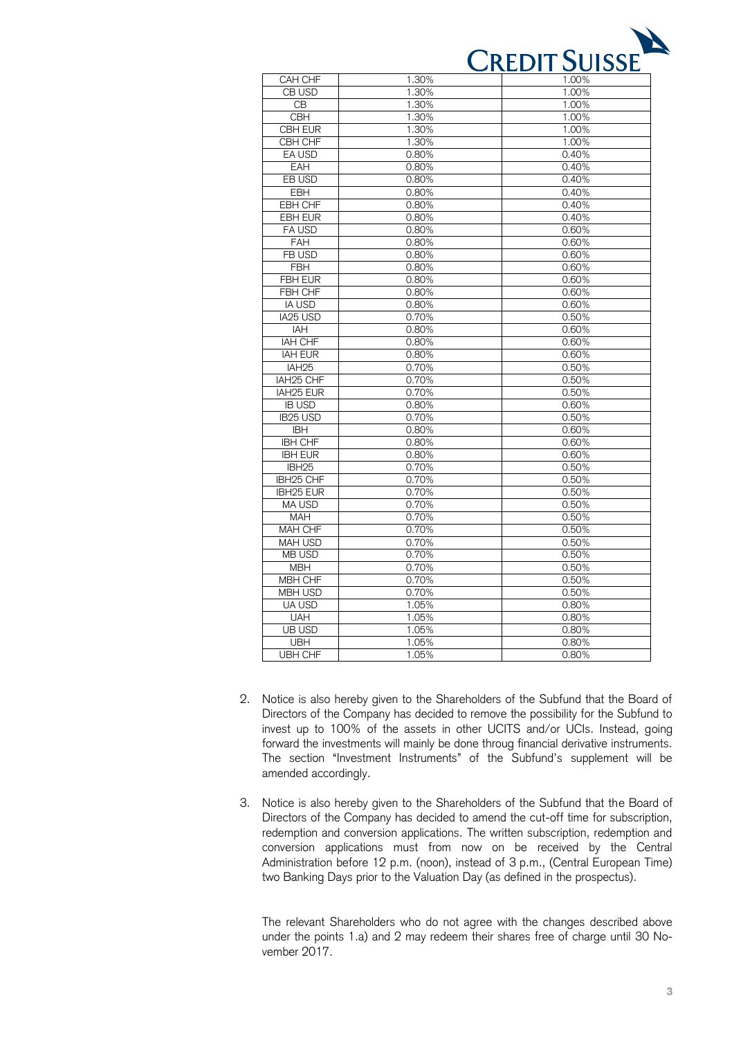

| CAH CHF<br>1.30%<br>1.00%<br>CB USD<br>1.30%<br>1.00%<br>1.30%<br>CB<br>1.00%<br><b>CBH</b><br>1.30%<br>1.00%<br><b>CBH EUR</b><br>1.30%<br>1.00%<br>CBH CHF<br>1.30%<br>1.00%<br>EA USD<br>0.80%<br>0.40%<br>EAH<br>0.80%<br>0.40%<br>EB USD<br>0.80%<br>0.40%<br><b>EBH</b><br>0.80%<br>0.40%<br><b>EBH CHF</b><br>0.80%<br>0.40%<br><b>EBH EUR</b><br>0.40%<br>0.80%<br>FA USD<br>0.60%<br>0.80%<br><b>FAH</b><br>0.80%<br>0.60%<br>FB USD<br>0.80%<br>0.60%<br><b>FBH</b><br>0.60%<br>0.80%<br><b>FBH EUR</b><br>0.60%<br>0.80%<br>FBH CHF<br>0.80%<br>0.60%<br><b>IA USD</b><br>0.80%<br>0.60%<br>IA25 USD<br>0.70%<br>0.50%<br>IAH<br>0.80%<br>0.60%<br><b>IAH CHF</b><br>0.80%<br>0.60%<br><b>IAH EUR</b><br>0.80%<br>0.60%<br>IAH <sub>25</sub><br>0.70%<br>0.50%<br>IAH <sub>25</sub> CHF<br>0.70%<br>0.50%<br>IAH25 EUR<br>0.70%<br>0.50%<br><b>IB USD</b><br>0.80%<br>0.60%<br><b>IB25 USD</b><br>0.70%<br>0.50%<br><b>IBH</b><br>0.80%<br>0.60%<br><b>IBH CHF</b><br>0.80%<br>0.60%<br><b>IBH EUR</b><br>0.80%<br>0.60%<br>IBH <sub>25</sub><br>0.70%<br>0.50%<br>IBH25 CHF<br>0.70%<br>0.50%<br>0.70%<br>IBH25 EUR<br>0.50%<br>MA USD<br>0.70%<br>0.50%<br>0.70%<br><b>MAH</b><br>0.50%<br>MAH CHF<br>0.70%<br>0.50%<br><b>MAH USD</b><br>0.70%<br>0.50%<br><b>MB USD</b><br>0.70%<br>0.50%<br><b>MBH</b><br>0.70%<br>0.50%<br><b>MBH CHF</b><br>0.70%<br>0.50%<br><b>MBH USD</b><br>0.70%<br>0.50%<br><b>UA USD</b><br>1.05%<br>0.80%<br><b>UAH</b><br>1.05%<br>0.80%<br><b>UB USD</b><br>1.05%<br>0.80%<br><b>UBH</b><br>1.05%<br>0.80%<br><b>UBH CHF</b><br>1.05%<br>0.80% |  |  |
|--------------------------------------------------------------------------------------------------------------------------------------------------------------------------------------------------------------------------------------------------------------------------------------------------------------------------------------------------------------------------------------------------------------------------------------------------------------------------------------------------------------------------------------------------------------------------------------------------------------------------------------------------------------------------------------------------------------------------------------------------------------------------------------------------------------------------------------------------------------------------------------------------------------------------------------------------------------------------------------------------------------------------------------------------------------------------------------------------------------------------------------------------------------------------------------------------------------------------------------------------------------------------------------------------------------------------------------------------------------------------------------------------------------------------------------------------------------------------------------------------------------------------------------------------------------------------------------------|--|--|
|                                                                                                                                                                                                                                                                                                                                                                                                                                                                                                                                                                                                                                                                                                                                                                                                                                                                                                                                                                                                                                                                                                                                                                                                                                                                                                                                                                                                                                                                                                                                                                                            |  |  |
|                                                                                                                                                                                                                                                                                                                                                                                                                                                                                                                                                                                                                                                                                                                                                                                                                                                                                                                                                                                                                                                                                                                                                                                                                                                                                                                                                                                                                                                                                                                                                                                            |  |  |
|                                                                                                                                                                                                                                                                                                                                                                                                                                                                                                                                                                                                                                                                                                                                                                                                                                                                                                                                                                                                                                                                                                                                                                                                                                                                                                                                                                                                                                                                                                                                                                                            |  |  |
|                                                                                                                                                                                                                                                                                                                                                                                                                                                                                                                                                                                                                                                                                                                                                                                                                                                                                                                                                                                                                                                                                                                                                                                                                                                                                                                                                                                                                                                                                                                                                                                            |  |  |
|                                                                                                                                                                                                                                                                                                                                                                                                                                                                                                                                                                                                                                                                                                                                                                                                                                                                                                                                                                                                                                                                                                                                                                                                                                                                                                                                                                                                                                                                                                                                                                                            |  |  |
|                                                                                                                                                                                                                                                                                                                                                                                                                                                                                                                                                                                                                                                                                                                                                                                                                                                                                                                                                                                                                                                                                                                                                                                                                                                                                                                                                                                                                                                                                                                                                                                            |  |  |
|                                                                                                                                                                                                                                                                                                                                                                                                                                                                                                                                                                                                                                                                                                                                                                                                                                                                                                                                                                                                                                                                                                                                                                                                                                                                                                                                                                                                                                                                                                                                                                                            |  |  |
|                                                                                                                                                                                                                                                                                                                                                                                                                                                                                                                                                                                                                                                                                                                                                                                                                                                                                                                                                                                                                                                                                                                                                                                                                                                                                                                                                                                                                                                                                                                                                                                            |  |  |
|                                                                                                                                                                                                                                                                                                                                                                                                                                                                                                                                                                                                                                                                                                                                                                                                                                                                                                                                                                                                                                                                                                                                                                                                                                                                                                                                                                                                                                                                                                                                                                                            |  |  |
|                                                                                                                                                                                                                                                                                                                                                                                                                                                                                                                                                                                                                                                                                                                                                                                                                                                                                                                                                                                                                                                                                                                                                                                                                                                                                                                                                                                                                                                                                                                                                                                            |  |  |
|                                                                                                                                                                                                                                                                                                                                                                                                                                                                                                                                                                                                                                                                                                                                                                                                                                                                                                                                                                                                                                                                                                                                                                                                                                                                                                                                                                                                                                                                                                                                                                                            |  |  |
|                                                                                                                                                                                                                                                                                                                                                                                                                                                                                                                                                                                                                                                                                                                                                                                                                                                                                                                                                                                                                                                                                                                                                                                                                                                                                                                                                                                                                                                                                                                                                                                            |  |  |
|                                                                                                                                                                                                                                                                                                                                                                                                                                                                                                                                                                                                                                                                                                                                                                                                                                                                                                                                                                                                                                                                                                                                                                                                                                                                                                                                                                                                                                                                                                                                                                                            |  |  |
|                                                                                                                                                                                                                                                                                                                                                                                                                                                                                                                                                                                                                                                                                                                                                                                                                                                                                                                                                                                                                                                                                                                                                                                                                                                                                                                                                                                                                                                                                                                                                                                            |  |  |
|                                                                                                                                                                                                                                                                                                                                                                                                                                                                                                                                                                                                                                                                                                                                                                                                                                                                                                                                                                                                                                                                                                                                                                                                                                                                                                                                                                                                                                                                                                                                                                                            |  |  |
|                                                                                                                                                                                                                                                                                                                                                                                                                                                                                                                                                                                                                                                                                                                                                                                                                                                                                                                                                                                                                                                                                                                                                                                                                                                                                                                                                                                                                                                                                                                                                                                            |  |  |
|                                                                                                                                                                                                                                                                                                                                                                                                                                                                                                                                                                                                                                                                                                                                                                                                                                                                                                                                                                                                                                                                                                                                                                                                                                                                                                                                                                                                                                                                                                                                                                                            |  |  |
|                                                                                                                                                                                                                                                                                                                                                                                                                                                                                                                                                                                                                                                                                                                                                                                                                                                                                                                                                                                                                                                                                                                                                                                                                                                                                                                                                                                                                                                                                                                                                                                            |  |  |
|                                                                                                                                                                                                                                                                                                                                                                                                                                                                                                                                                                                                                                                                                                                                                                                                                                                                                                                                                                                                                                                                                                                                                                                                                                                                                                                                                                                                                                                                                                                                                                                            |  |  |
|                                                                                                                                                                                                                                                                                                                                                                                                                                                                                                                                                                                                                                                                                                                                                                                                                                                                                                                                                                                                                                                                                                                                                                                                                                                                                                                                                                                                                                                                                                                                                                                            |  |  |
|                                                                                                                                                                                                                                                                                                                                                                                                                                                                                                                                                                                                                                                                                                                                                                                                                                                                                                                                                                                                                                                                                                                                                                                                                                                                                                                                                                                                                                                                                                                                                                                            |  |  |
|                                                                                                                                                                                                                                                                                                                                                                                                                                                                                                                                                                                                                                                                                                                                                                                                                                                                                                                                                                                                                                                                                                                                                                                                                                                                                                                                                                                                                                                                                                                                                                                            |  |  |
|                                                                                                                                                                                                                                                                                                                                                                                                                                                                                                                                                                                                                                                                                                                                                                                                                                                                                                                                                                                                                                                                                                                                                                                                                                                                                                                                                                                                                                                                                                                                                                                            |  |  |
|                                                                                                                                                                                                                                                                                                                                                                                                                                                                                                                                                                                                                                                                                                                                                                                                                                                                                                                                                                                                                                                                                                                                                                                                                                                                                                                                                                                                                                                                                                                                                                                            |  |  |
|                                                                                                                                                                                                                                                                                                                                                                                                                                                                                                                                                                                                                                                                                                                                                                                                                                                                                                                                                                                                                                                                                                                                                                                                                                                                                                                                                                                                                                                                                                                                                                                            |  |  |
|                                                                                                                                                                                                                                                                                                                                                                                                                                                                                                                                                                                                                                                                                                                                                                                                                                                                                                                                                                                                                                                                                                                                                                                                                                                                                                                                                                                                                                                                                                                                                                                            |  |  |
|                                                                                                                                                                                                                                                                                                                                                                                                                                                                                                                                                                                                                                                                                                                                                                                                                                                                                                                                                                                                                                                                                                                                                                                                                                                                                                                                                                                                                                                                                                                                                                                            |  |  |
|                                                                                                                                                                                                                                                                                                                                                                                                                                                                                                                                                                                                                                                                                                                                                                                                                                                                                                                                                                                                                                                                                                                                                                                                                                                                                                                                                                                                                                                                                                                                                                                            |  |  |
|                                                                                                                                                                                                                                                                                                                                                                                                                                                                                                                                                                                                                                                                                                                                                                                                                                                                                                                                                                                                                                                                                                                                                                                                                                                                                                                                                                                                                                                                                                                                                                                            |  |  |
|                                                                                                                                                                                                                                                                                                                                                                                                                                                                                                                                                                                                                                                                                                                                                                                                                                                                                                                                                                                                                                                                                                                                                                                                                                                                                                                                                                                                                                                                                                                                                                                            |  |  |
|                                                                                                                                                                                                                                                                                                                                                                                                                                                                                                                                                                                                                                                                                                                                                                                                                                                                                                                                                                                                                                                                                                                                                                                                                                                                                                                                                                                                                                                                                                                                                                                            |  |  |
|                                                                                                                                                                                                                                                                                                                                                                                                                                                                                                                                                                                                                                                                                                                                                                                                                                                                                                                                                                                                                                                                                                                                                                                                                                                                                                                                                                                                                                                                                                                                                                                            |  |  |
|                                                                                                                                                                                                                                                                                                                                                                                                                                                                                                                                                                                                                                                                                                                                                                                                                                                                                                                                                                                                                                                                                                                                                                                                                                                                                                                                                                                                                                                                                                                                                                                            |  |  |
|                                                                                                                                                                                                                                                                                                                                                                                                                                                                                                                                                                                                                                                                                                                                                                                                                                                                                                                                                                                                                                                                                                                                                                                                                                                                                                                                                                                                                                                                                                                                                                                            |  |  |
|                                                                                                                                                                                                                                                                                                                                                                                                                                                                                                                                                                                                                                                                                                                                                                                                                                                                                                                                                                                                                                                                                                                                                                                                                                                                                                                                                                                                                                                                                                                                                                                            |  |  |
|                                                                                                                                                                                                                                                                                                                                                                                                                                                                                                                                                                                                                                                                                                                                                                                                                                                                                                                                                                                                                                                                                                                                                                                                                                                                                                                                                                                                                                                                                                                                                                                            |  |  |
|                                                                                                                                                                                                                                                                                                                                                                                                                                                                                                                                                                                                                                                                                                                                                                                                                                                                                                                                                                                                                                                                                                                                                                                                                                                                                                                                                                                                                                                                                                                                                                                            |  |  |
|                                                                                                                                                                                                                                                                                                                                                                                                                                                                                                                                                                                                                                                                                                                                                                                                                                                                                                                                                                                                                                                                                                                                                                                                                                                                                                                                                                                                                                                                                                                                                                                            |  |  |
|                                                                                                                                                                                                                                                                                                                                                                                                                                                                                                                                                                                                                                                                                                                                                                                                                                                                                                                                                                                                                                                                                                                                                                                                                                                                                                                                                                                                                                                                                                                                                                                            |  |  |
|                                                                                                                                                                                                                                                                                                                                                                                                                                                                                                                                                                                                                                                                                                                                                                                                                                                                                                                                                                                                                                                                                                                                                                                                                                                                                                                                                                                                                                                                                                                                                                                            |  |  |
|                                                                                                                                                                                                                                                                                                                                                                                                                                                                                                                                                                                                                                                                                                                                                                                                                                                                                                                                                                                                                                                                                                                                                                                                                                                                                                                                                                                                                                                                                                                                                                                            |  |  |
|                                                                                                                                                                                                                                                                                                                                                                                                                                                                                                                                                                                                                                                                                                                                                                                                                                                                                                                                                                                                                                                                                                                                                                                                                                                                                                                                                                                                                                                                                                                                                                                            |  |  |
|                                                                                                                                                                                                                                                                                                                                                                                                                                                                                                                                                                                                                                                                                                                                                                                                                                                                                                                                                                                                                                                                                                                                                                                                                                                                                                                                                                                                                                                                                                                                                                                            |  |  |
|                                                                                                                                                                                                                                                                                                                                                                                                                                                                                                                                                                                                                                                                                                                                                                                                                                                                                                                                                                                                                                                                                                                                                                                                                                                                                                                                                                                                                                                                                                                                                                                            |  |  |
|                                                                                                                                                                                                                                                                                                                                                                                                                                                                                                                                                                                                                                                                                                                                                                                                                                                                                                                                                                                                                                                                                                                                                                                                                                                                                                                                                                                                                                                                                                                                                                                            |  |  |
|                                                                                                                                                                                                                                                                                                                                                                                                                                                                                                                                                                                                                                                                                                                                                                                                                                                                                                                                                                                                                                                                                                                                                                                                                                                                                                                                                                                                                                                                                                                                                                                            |  |  |
|                                                                                                                                                                                                                                                                                                                                                                                                                                                                                                                                                                                                                                                                                                                                                                                                                                                                                                                                                                                                                                                                                                                                                                                                                                                                                                                                                                                                                                                                                                                                                                                            |  |  |

- 2. Notice is also hereby given to the Shareholders of the Subfund that the Board of Directors of the Company has decided to remove the possibility for the Subfund to invest up to 100% of the assets in other UCITS and/or UCIs. Instead, going forward the investments will mainly be done throug financial derivative instruments. The section "Investment Instruments" of the Subfund's supplement will be amended accordingly.
- 3. Notice is also hereby given to the Shareholders of the Subfund that the Board of Directors of the Company has decided to amend the cut-off time for subscription, redemption and conversion applications. The written subscription, redemption and conversion applications must from now on be received by the Central Administration before 12 p.m. (noon), instead of 3 p.m., (Central European Time) two Banking Days prior to the Valuation Day (as defined in the prospectus).

 The relevant Shareholders who do not agree with the changes described above under the points 1.a) and 2 may redeem their shares free of charge until 30 No-vember 2017.